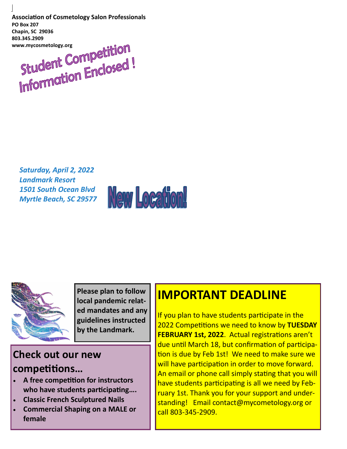**Association of Cosmetology Salon Professionals PO Box 207 Chapin, SC 29036 803.345.2909**

ww.mycosmetology.org<br>Student Competition<br>Information Enclosed!

*Saturday, April 2, 2022 Landmark Resort 1501 South Ocean Blvd Myrtle Beach, SC 29577*





**Please plan to follow local pandemic related mandates and any guidelines instructed by the Landmark.**

### **Check out our new competitions…**

- **A free competition for instructors who have students participating….**
- **Classic French Sculptured Nails**
- **Commercial Shaping on a MALE or female**

### **IMPORTANT DEADLINE**

If you plan to have students participate in the 2022 Competitions we need to know by **TUESDAY FEBRUARY 1st, 2022**. Actual registrations aren't due until March 18, but confirmation of participation is due by Feb 1st! We need to make sure we will have participation in order to move forward. An email or phone call simply stating that you will have students participating is all we need by February 1st. Thank you for your support and understanding! Email contact@mycometology.org or call 803-345-2909.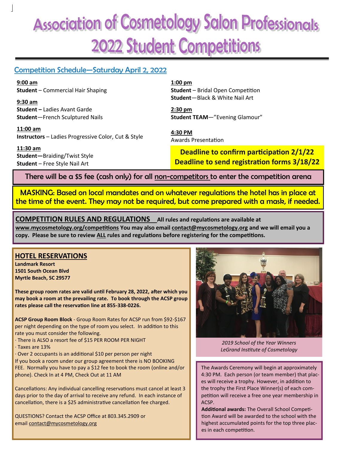## **Association of Cosmetology Salon Professionals** 2022 Student Competitions

### Competition Schedule—Saturday April 2, 2022

**9:00 am Student** – Commercial Hair Shaping

**9:30 am Student –** Ladies Avant Garde **Student**—French Sculptured Nails

**11:00 am Instructors** – Ladies Progressive Color, Cut & Style

**11:30 am Student—**Braiding/Twist Style **Student** – Free Style Nail Art

**1:00 pm Student** – Bridal Open Competition **Student**—Black & White Nail Art

**2:30 pm Student TEAM**—"Evening Glamour"

**4:30 PM** Awards Presentation

**Deadline to confirm participation 2/1/22 Deadline to send registration forms 3/18/22**

There will be a \$5 fee (cash only) for all non-competitors to enter the competition arena

MASKING: Based on local mandates and on whatever regulations the hotel has in place at the time of the event. They may not be required, but come prepared with a mask, if needed.

**COMPETITION RULES AND REGULATIONS All rules and regulations are available at** 

**www.mycosmetology.org/competitions You may also email contact@mycosmetology.org and we will email you a copy. Please be sure to review ALL rules and regulations before registering for the competitions.**

### **HOTEL RESERVATIONS**

**Landmark Resort 1501 South Ocean Blvd Myrtle Beach, SC 29577**

**These group room rates are valid until February 28, 2022, after which you may book a room at the prevailing rate. To book through the ACSP group rates please call the reservation line at 855-338-0226.**

**ACSP Group Room Block** - Group Room Rates for ACSP run from \$92-\$167 per night depending on the type of room you select. In addition to this rate you must consider the following.

- · There is ALSO a resort fee of \$15 PER ROOM PER NIGHT
- · Taxes are 13%

· Over 2 occupants is an additional \$10 per person per night

If you book a room under our group agreement there is NO BOOKING FEE. Normally you have to pay a \$12 fee to book the room (online and/or phone). Check In at 4 PM, Check Out at 11 AM

Cancellations: Any individual cancelling reservations must cancel at least 3 days prior to the day of arrival to receive any refund. In each instance of cancellation, there is a \$25 administrative cancellation fee charged.

QUESTIONS? Contact the ACSP Office at 803.345.2909 or email [contact@mycosmetology.org](mailto:contact@mycosmetology.org)



*2019 School of the Year Winners LeGrand Institute of Cosmetology*

The Awards Ceremony will begin at approximately 4:30 PM. Each person (or team member) that places will receive a trophy. However, in addition to the trophy the First Place Winner(s) of each competition will receive a free one year membership in ACSP.

**Additional awards:** The Overall School Competition Award will be awarded to the school with the highest accumulated points for the top three places in each competition.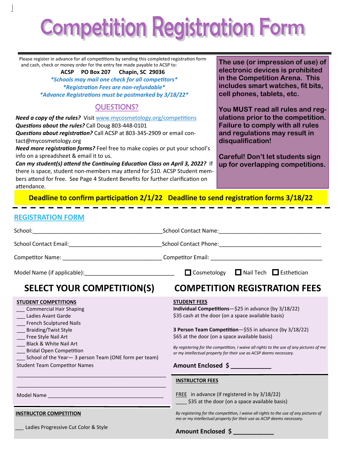# **Competition Registration Form**

Please register in advance for all competitions by sending this completed registration form and cash, check or money order for the entry fee made payable to ACSP to:

> **ACSP PO Box 207 Chapin, SC 29036** *\*Schools may mail one check for all competitors\* \*Registration Fees are non-refundable\* \*Advance Registrations must be postmarked by 3/18/22\**

### QUESTIONS?

*Need a copy of the rules?* Visit [www.mycosmetology.org/](http://www.mycosmetology.org/)competitions *Questions about the rules?* Call Doug 803-448-0101 *Questions about registration?* Call ACSP at 803-345-2909 or email contact@mycosmetology.org

*Need more registration forms?* Feel free to make copies or put your school's info on a spreadsheet & email it to us.

*Can my student(s) attend the Continuing Education Class on April 3, 2022?* If there is space, student non-members may attend for \$10. ACSP Student members attend for free. See Page 4 Student Benefits for further clarification on attendance.

**The use (or impression of use) of electronic devices is prohibited in the Competition Arena. This includes smart watches, fit bits, cell phones, tablets, etc.** 

**You MUST read all rules and regulations prior to the competition. Failure to comply with all rules and regulations may result in disqualification!**

**Careful! Don't let students sign up for overlapping competitions.** 

**Deadline to confirm participation 2/1/22 Deadline to send registration forms 3/18/22**

### **REGISTRATION FORM**

|                                                                                                                                                                                                                                                                                                                             | $\Box$ Cosmetology $\Box$ Nail Tech $\Box$ Esthetician                                                                                                                                                                                                                                                                                                                                                                              |  |
|-----------------------------------------------------------------------------------------------------------------------------------------------------------------------------------------------------------------------------------------------------------------------------------------------------------------------------|-------------------------------------------------------------------------------------------------------------------------------------------------------------------------------------------------------------------------------------------------------------------------------------------------------------------------------------------------------------------------------------------------------------------------------------|--|
| <b>SELECT YOUR COMPETITION(S)</b>                                                                                                                                                                                                                                                                                           | <b>COMPETITION REGISTRATION FEES</b>                                                                                                                                                                                                                                                                                                                                                                                                |  |
| <b>STUDENT COMPETITIONS</b><br>Commercial Hair Shaping<br>Ladies Avant Garde<br><b>French Sculptured Nails</b><br>__ Braiding/Twist Style<br>__ Free Style Nail Art<br>Black & White Nail Art<br>Bridal Open Competition<br>__ School of the Year-3 person Team (ONE form per team)<br><b>Student Team Competitor Names</b> | <b>STUDENT FEES</b><br>Individual Competitions-\$25 in advance (by 3/18/22)<br>\$35 cash at the door (on a space available basis)<br>3 Person Team Competition-\$55 in advance (by 3/18/22)<br>\$65 at the door (on a space available basis)<br>By registering for the competition, I waive all rights to the use of any pictures of me<br>or my intellectual property for their use as ACSP deems necessary.<br>Amount Enclosed \$ |  |
|                                                                                                                                                                                                                                                                                                                             | <b>INSTRUCTOR FEES</b><br><b>FREE</b> in advance (if registered in by 3/18/22)<br>\$35 at the door (on a space available basis)                                                                                                                                                                                                                                                                                                     |  |
| <b>INSTRUCTOR COMPETITION</b>                                                                                                                                                                                                                                                                                               | By registering for the competition, I waive all rights to the use of any pictures of<br>me or my intellectual property for their use as ACSP deems necessary.                                                                                                                                                                                                                                                                       |  |
| Ladies Progressive Cut Color & Style                                                                                                                                                                                                                                                                                        | <b>Amount Enclosed \$</b>                                                                                                                                                                                                                                                                                                                                                                                                           |  |